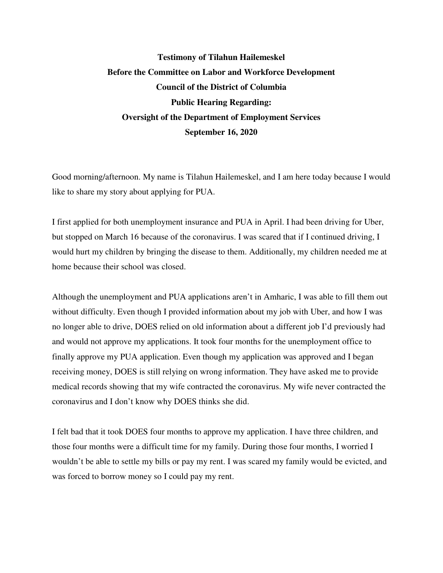## **Testimony of Tilahun Hailemeskel Before the Committee on Labor and Workforce Development Council of the District of Columbia Public Hearing Regarding: Oversight of the Department of Employment Services September 16, 2020**

Good morning/afternoon. My name is Tilahun Hailemeskel, and I am here today because I would like to share my story about applying for PUA.

I first applied for both unemployment insurance and PUA in April. I had been driving for Uber, but stopped on March 16 because of the coronavirus. I was scared that if I continued driving, I would hurt my children by bringing the disease to them. Additionally, my children needed me at home because their school was closed.

Although the unemployment and PUA applications aren't in Amharic, I was able to fill them out without difficulty. Even though I provided information about my job with Uber, and how I was no longer able to drive, DOES relied on old information about a different job I'd previously had and would not approve my applications. It took four months for the unemployment office to finally approve my PUA application. Even though my application was approved and I began receiving money, DOES is still relying on wrong information. They have asked me to provide medical records showing that my wife contracted the coronavirus. My wife never contracted the coronavirus and I don't know why DOES thinks she did.

I felt bad that it took DOES four months to approve my application. I have three children, and those four months were a difficult time for my family. During those four months, I worried I wouldn't be able to settle my bills or pay my rent. I was scared my family would be evicted, and was forced to borrow money so I could pay my rent.